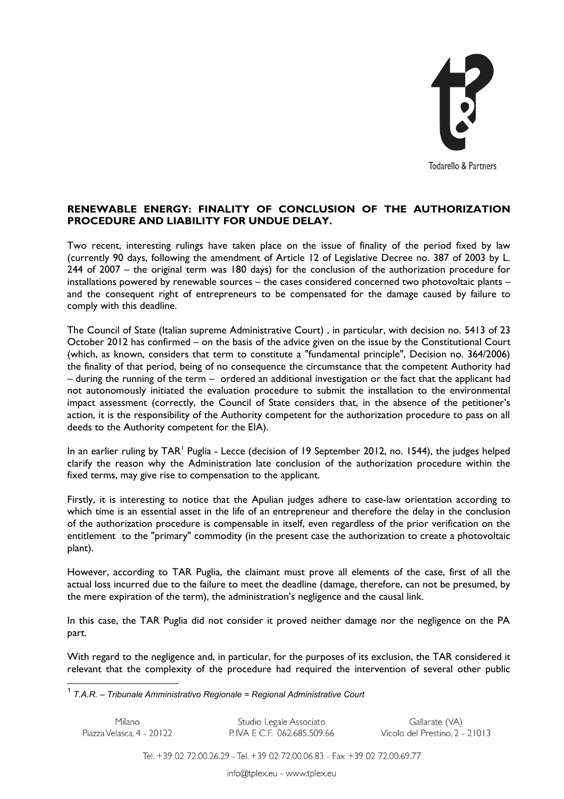

## **RENEWABLE ENERGY: FINALITY OF CONCLUSION OF THE AUTHORIZATION PROCEDURE AND LIABILITY FOR UNDUE DELAY.**

Two recent, interesting rulings have taken place on the issue of finality of the period fixed by law (currently 90 days, following the amendment of Article 12 of Legislative Decree no. 387 of 2003 by L. 244 of 2007 – the original term was 180 days) for the conclusion of the authorization procedure for installations powered by renewable sources – the cases considered concerned two photovoltaic plants – and the consequent right of entrepreneurs to be compensated for the damage caused by failure to comply with this deadline.

The Council of State (Italian supreme Administrative Court) , in particular, with decision no. 5413 of 23 October 2012 has confirmed – on the basis of the advice given on the issue by the Constitutional Court (which, as known, considers that term to constitute a "fundamental principle", Decision no. 364/2006) the finality of that period, being of no consequence the circumstance that the competent Authority had – during the running of the term – ordered an additional investigation or the fact that the applicant had not autonomously initiated the evaluation procedure to submit the installation to the environmental impact assessment (correctly, the Council of State considers that, in the absence of the petitioner's action, it is the responsibility of the Authority competent for the authorization procedure to pass on all deeds to the Authority competent for the EIA).

In an earlier ruling by TAR<sup>[1](#page-0-0)</sup> Puglia - Lecce (decision of 19 September 2012, no. 1544), the judges helped clarify the reason why the Administration late conclusion of the authorization procedure within the fixed terms, may give rise to compensation to the applicant.

Firstly, it is interesting to notice that the Apulian judges adhere to case-law orientation according to which time is an essential asset in the life of an entrepreneur and therefore the delay in the conclusion of the authorization procedure is compensable in itself, even regardless of the prior verification on the entitlement to the "primary" commodity (in the present case the authorization to create a photovoltaic plant).

However, according to TAR Puglia, the claimant must prove all elements of the case, first of all the actual loss incurred due to the failure to meet the deadline (damage, therefore, can not be presumed, by the mere expiration of the term), the administration's negligence and the causal link.

In this case, the TAR Puglia did not consider it proved neither damage nor the negligence on the PA part.

With regard to the negligence and, in particular, for the purposes of its exclusion, the TAR considered it relevant that the complexity of the procedure had required the intervention of several other public

<span id="page-0-0"></span>1 *T.A.R. – Tribunale Amministrativo Regionale = Regional Administrative Court*

| Milano                    | Studio Legale Associato    | Gallarate (VA)                 |
|---------------------------|----------------------------|--------------------------------|
| Piazza Velasca, 4 - 20122 | P IVA E C F 062.685.509.66 | Vicolo del Prestino, 2 - 21013 |

Tel. +39 02 72.00.26.29 - Tel. +39 02 72.00.06.83 - Fax +39 02 72.00.69.77